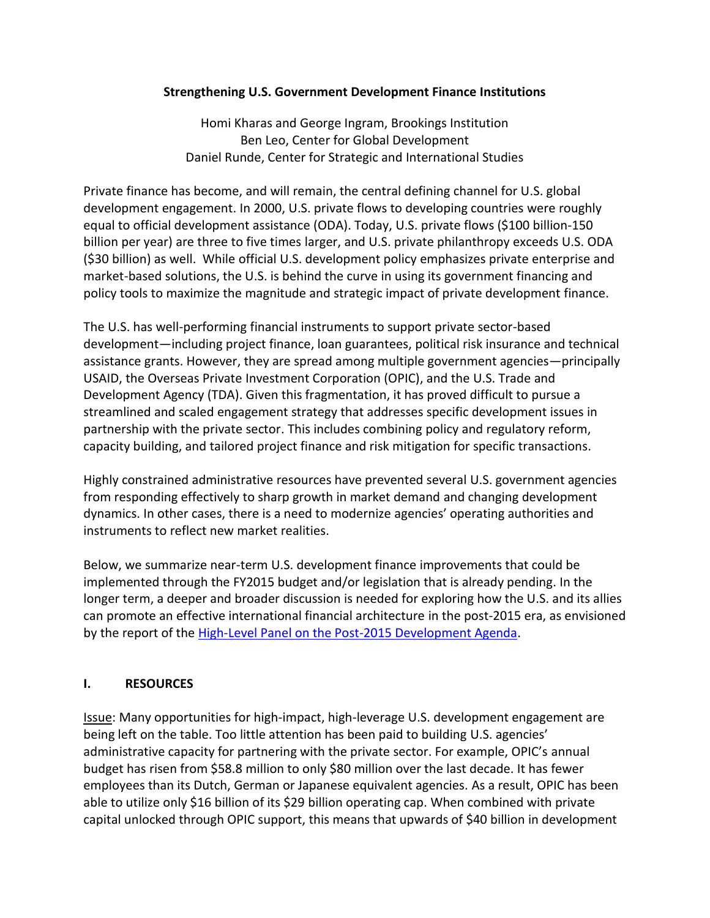## **Strengthening U.S. Government Development Finance Institutions**

Homi Kharas and George Ingram, Brookings Institution Ben Leo, Center for Global Development Daniel Runde, Center for Strategic and International Studies

Private finance has become, and will remain, the central defining channel for U.S. global development engagement. In 2000, U.S. private flows to developing countries were roughly equal to official development assistance (ODA). Today, U.S. private flows (\$100 billion-150 billion per year) are three to five times larger, and U.S. private philanthropy exceeds U.S. ODA (\$30 billion) as well. While official U.S. development policy emphasizes private enterprise and market-based solutions, the U.S. is behind the curve in using its government financing and policy tools to maximize the magnitude and strategic impact of private development finance.

The U.S. has well-performing financial instruments to support private sector-based development—including project finance, loan guarantees, political risk insurance and technical assistance grants. However, they are spread among multiple government agencies—principally USAID, the Overseas Private Investment Corporation (OPIC), and the U.S. Trade and Development Agency (TDA). Given this fragmentation, it has proved difficult to pursue a streamlined and scaled engagement strategy that addresses specific development issues in partnership with the private sector. This includes combining policy and regulatory reform, capacity building, and tailored project finance and risk mitigation for specific transactions.

Highly constrained administrative resources have prevented several U.S. government agencies from responding effectively to sharp growth in market demand and changing development dynamics. In other cases, there is a need to modernize agencies' operating authorities and instruments to reflect new market realities.

Below, we summarize near-term U.S. development finance improvements that could be implemented through the FY2015 budget and/or legislation that is already pending. In the longer term, a deeper and broader discussion is needed for exploring how the U.S. and its allies can promote an effective international financial architecture in the post-2015 era, as envisioned by the report of the [High-Level Panel on the Post-2015 Development Agenda.](http://www.post2015hlp.org/wp-content/uploads/2013/05/UN-Report.pdf)

## **I. RESOURCES**

Issue: Many opportunities for high-impact, high-leverage U.S. development engagement are being left on the table. Too little attention has been paid to building U.S. agencies' administrative capacity for partnering with the private sector. For example, OPIC's annual budget has risen from \$58.8 million to only \$80 million over the last decade. It has fewer employees than its Dutch, German or Japanese equivalent agencies. As a result, OPIC has been able to utilize only \$16 billion of its \$29 billion operating cap. When combined with private capital unlocked through OPIC support, this means that upwards of \$40 billion in development